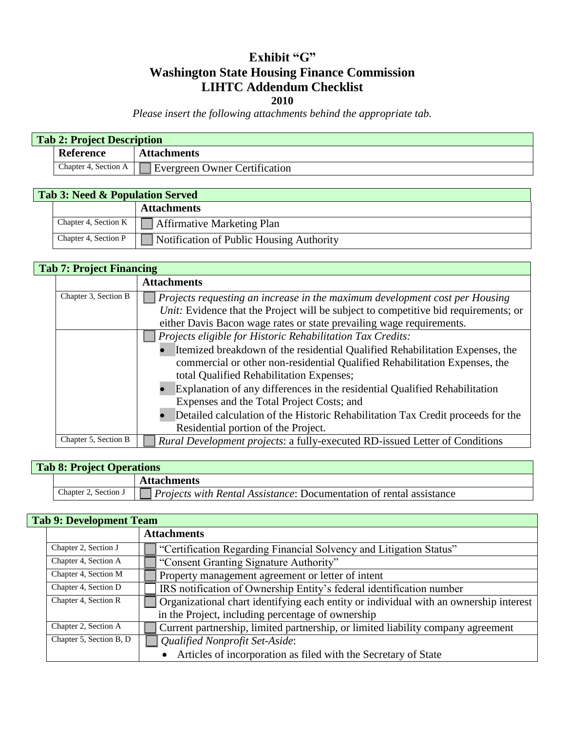## **Exhibit "G" Washington State Housing Finance Commission LIHTC Addendum Checklist 2010**

*Please insert the following attachments behind the appropriate tab.*

| <b>Reference</b><br><b>Attachments</b> | <b>Tab 2: Project Description</b> |                      |  |
|----------------------------------------|-----------------------------------|----------------------|--|
|                                        |                                   |                      |  |
| Evergreen Owner Certification          |                                   | Chapter 4, Section A |  |

| <b>Tab 3: Need &amp; Population Served</b> |                                  |                                          |
|--------------------------------------------|----------------------------------|------------------------------------------|
|                                            |                                  | <b>Attachments</b>                       |
|                                            | Chapter 4, Section K $\ \cdot\ $ | Affirmative Marketing Plan               |
|                                            | Chapter 4, Section P             | Notification of Public Housing Authority |

## **Tab 7: Project Financing**

|                      | <b>Attachments</b>                                                                  |
|----------------------|-------------------------------------------------------------------------------------|
| Chapter 3, Section B | $\vert$ Projects requesting an increase in the maximum development cost per Housing |
|                      | Unit: Evidence that the Project will be subject to competitive bid requirements; or |
|                      | either Davis Bacon wage rates or state prevailing wage requirements.                |
|                      | Projects eligible for Historic Rehabilitation Tax Credits:                          |
|                      | Itemized breakdown of the residential Qualified Rehabilitation Expenses, the        |
|                      | commercial or other non-residential Qualified Rehabilitation Expenses, the          |
|                      | total Qualified Rehabilitation Expenses;                                            |
|                      | Explanation of any differences in the residential Qualified Rehabilitation          |
|                      | Expenses and the Total Project Costs; and                                           |
|                      | Detailed calculation of the Historic Rehabilitation Tax Credit proceeds for the     |
|                      | Residential portion of the Project.                                                 |
| Chapter 5, Section B | Rural Development projects: a fully-executed RD-issued Letter of Conditions         |

| <b>Tab 8: Project Operations</b> |                      |                                                                            |  |
|----------------------------------|----------------------|----------------------------------------------------------------------------|--|
|                                  |                      | <b>Attachments</b>                                                         |  |
|                                  | Chapter 2, Section J | <i>Projects with Rental Assistance: Documentation of rental assistance</i> |  |

|                         | <b>Attachments</b>                                                                    |
|-------------------------|---------------------------------------------------------------------------------------|
| Chapter 2, Section J    | "Certification Regarding Financial Solvency and Litigation Status"                    |
| Chapter 4, Section A    | "Consent Granting Signature Authority"                                                |
| Chapter 4, Section M    | Property management agreement or letter of intent                                     |
| Chapter 4, Section D    | IRS notification of Ownership Entity's federal identification number                  |
| Chapter 4, Section R    | Organizational chart identifying each entity or individual with an ownership interest |
|                         | in the Project, including percentage of ownership                                     |
| Chapter 2, Section A    | Current partnership, limited partnership, or limited liability company agreement      |
| Chapter 5, Section B, D | Qualified Nonprofit Set-Aside:                                                        |
|                         | Articles of incorporation as filed with the Secretary of State                        |